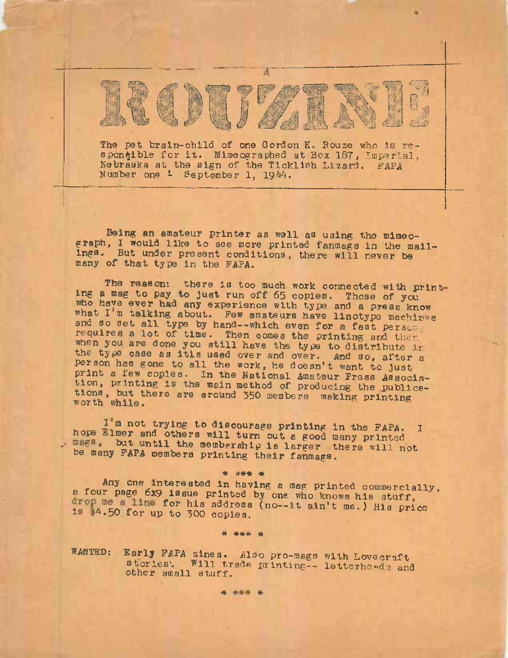

A

The pet brain-child of one Gordon K. Rouze who is responaible for it. Mimeographed at Box 187, Imperial. Nebraska at the sign of the Ticklish Lizard. FAPA Number one <sup>1</sup> September 1, 1944.

Being an amateur printer as well as using the mimeograph, I would like to see more printed fanmags in the mailings, But under present conditions, there will never be many of that type in the FAPA.

The reason: there is too much work connected with print-Ing a mag to pay to Just run off 65 copies. Those of you who have ever had any experience with type and a press know what I'm talking about. Few amateurs have linotype machines and so set all type by hand--which even for a fast person requires a lot of time. Then comes the printing and then when you are done you still have the type to distribute in the type case as itis used over and over. And so, after <sup>a</sup> person has gone to all the work, he doesn't want to just print a few copies. In the National Amateur Press Association, printing is the main method of producing the publications, but there are around 550 members making printing worth while.

I'm not trying to discourage printing in the FAPA. I hope Elmer and others will turn out a good many printed , mags but until the membership is larger there will not be many FAPA members printing their fanmags.

\* -4-\*# #

Any one interested in having <sup>a</sup> mag printed commercially. a four page 6x9 issue printed by one who knows his stuff drop me a lime for his address (no--it ain't me.) His price is \$4.50 for up to 500 copies.

\* \*\*\* \*

WANTED: Early FAPA zines. Also pro-mags with Lovecraft stories! Will trade printing-- letterheads and other small stuff.

\* \*\*\* \*